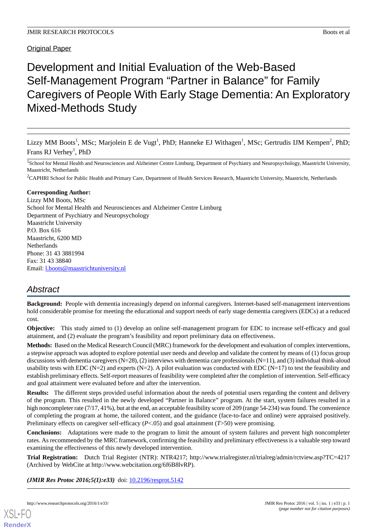**Original Paper** 

# Development and Initial Evaluation of the Web-Based Self-Management Program "Partner in Balance" for Family Caregivers of People With Early Stage Dementia: An Exploratory Mixed-Methods Study

Lizzy MM Boots<sup>1</sup>, MSc; Marjolein E de Vugt<sup>1</sup>, PhD; Hanneke EJ Withagen<sup>1</sup>, MSc; Gertrudis IJM Kempen<sup>2</sup>, PhD; Frans RJ Verhey<sup>1</sup>, PhD

<sup>1</sup>School for Mental Health and Neurosciences and Alzheimer Centre Limburg, Department of Psychiatry and Neuropsychology, Maastricht University, Maastricht, Netherlands

<sup>2</sup>CAPHRI School for Public Health and Primary Care, Department of Health Services Research, Maastricht University, Maastricht, Netherlands

#### **Corresponding Author:**

Lizzy MM Boots, MSc School for Mental Health and Neurosciences and Alzheimer Centre Limburg Department of Psychiatry and Neuropsychology Maastricht University P.O. Box 616 Maastricht, 6200 MD Netherlands Phone: 31 43 3881994 Fax: 31 43 38840 Email: [l.boots@maastrichtuniversity.nl](mailto:l.boots@maastrichtuniversity.nl)

### *Abstract*

**Background:** People with dementia increasingly depend on informal caregivers. Internet-based self-management interventions hold considerable promise for meeting the educational and support needs of early stage dementia caregivers (EDCs) at a reduced cost.

**Objective:** This study aimed to (1) develop an online self-management program for EDC to increase self-efficacy and goal attainment, and (2) evaluate the program's feasibility and report preliminary data on effectiveness.

**Methods:** Based on the Medical Research Council (MRC) framework for the development and evaluation of complex interventions, a stepwise approach was adopted to explore potential user needs and develop and validate the content by means of (1) focus group discussions with dementia caregivers  $(N=28)$ ,  $(2)$  interviews with dementia care professionals  $(N=11)$ , and  $(3)$  individual think-aloud usability tests with EDC (N=2) and experts (N=2). A pilot evaluation was conducted with EDC (N=17) to test the feasibility and establish preliminary effects. Self-report measures of feasibility were completed after the completion of intervention. Self-efficacy and goal attainment were evaluated before and after the intervention.

**Results:** The different steps provided useful information about the needs of potential users regarding the content and delivery of the program. This resulted in the newly developed "Partner in Balance" program. At the start, system failures resulted in a high noncompleter rate (7/17, 41%), but at the end, an acceptable feasibility score of 209 (range 54-234) was found. The convenience of completing the program at home, the tailored content, and the guidance (face-to-face and online) were appraised positively. Preliminary effects on caregiver self-efficacy (*P*<.05) and goal attainment (*T*>50) were promising.

**Conclusions:** Adaptations were made to the program to limit the amount of system failures and prevent high noncompleter rates. As recommended by the MRC framework, confirming the feasibility and preliminary effectiveness is a valuable step toward examining the effectiveness of this newly developed intervention.

**Trial Registration:** Dutch Trial Register (NTR): NTR4217; http://www.trialregister.nl/trialreg/admin/rctview.asp?TC=4217 (Archived by WebCite at http://www.webcitation.org/6f6B8lvRP).

(JMIR Res Protoc 2016;5(1):e33) doi: [10.2196/resprot.5142](http://dx.doi.org/10.2196/resprot.5142)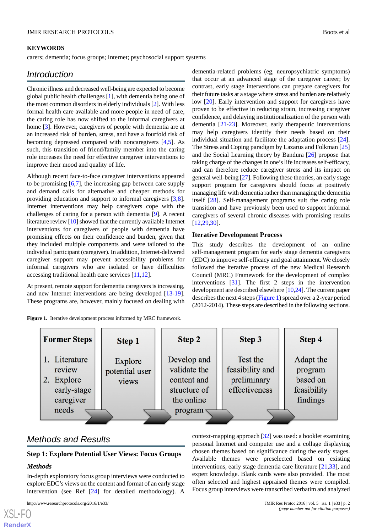#### **KEYWORDS**

carers; dementia; focus groups; Internet; psychosocial support systems

### *Introduction*

Chronic illness and decreased well-being are expected to become global public health challenges [[1\]](#page-10-0), with dementia being one of the most common disorders in elderly individuals [\[2](#page-10-1)]. With less formal health care available and more people in need of care, the caring role has now shifted to the informal caregivers at home [[3\]](#page-10-2). However, caregivers of people with dementia are at an increased risk of burden, stress, and have a fourfold risk of becoming depressed compared with noncaregivers [\[4](#page-10-3),[5\]](#page-10-4). As such, this transition of friend/family member into the caring role increases the need for effective caregiver interventions to improve their mood and quality of life.

Although recent face-to-face caregiver interventions appeared to be promising [\[6](#page-10-5),[7\]](#page-10-6), the increasing gap between care supply and demand calls for alternative and cheaper methods for providing education and support to informal caregivers [\[3](#page-10-2),[8\]](#page-10-7). Internet interventions may help caregivers cope with the challenges of caring for a person with dementia [\[9](#page-10-8)]. A recent literature review [[10](#page-10-9)] showed that the currently available Internet interventions for caregivers of people with dementia have promising effects on their confidence and burden, given that they included multiple components and were tailored to the individual participant (caregiver). In addition, Internet-delivered caregiver support may prevent accessibility problems for informal caregivers who are isolated or have difficulties accessing traditional health care services [\[11](#page-10-10),[12\]](#page-11-0).

<span id="page-1-0"></span>At present, remote support for dementia caregivers is increasing, and new Internet interventions are being developed [\[13](#page-11-1)-[19\]](#page-11-2). These programs are, however, mainly focused on dealing with

**Figure 1.** Iterative development process informed by MRC framework.

dementia-related problems (eg, neuropsychiatric symptoms) that occur at an advanced stage of the caregiver career; by contrast, early stage interventions can prepare caregivers for their future tasks at a stage where stress and burden are relatively low [[20\]](#page-11-3). Early intervention and support for caregivers have proven to be effective in reducing strain, increasing caregiver confidence, and delaying institutionalization of the person with dementia [\[21](#page-11-4)[-23](#page-11-5)]. Moreover, early therapeutic interventions may help caregivers identify their needs based on their individual situation and facilitate the adaptation process [[24\]](#page-11-6). The Stress and Coping paradigm by Lazarus and Folkman [\[25](#page-11-7)] and the Social Learning theory by Bandura [\[26](#page-11-8)] propose that taking charge of the changes in one's life increases self-efficacy, and can therefore reduce caregiver stress and its impact on general well-being [\[27\]](#page-11-9). Following these theories, an early stage support program for caregivers should focus at positively managing life with dementia rather than managing the dementia itself [[28\]](#page-11-10). Self-management programs suit the caring role transition and have previously been used to support informal caregivers of several chronic diseases with promising results [[12,](#page-11-0)[29,](#page-11-11)[30\]](#page-11-12).

#### **Iterative Development Process**

This study describes the development of an online self-management program for early stage dementia caregivers (EDC) to improve self-efficacy and goal attainment. We closely followed the iterative process of the new Medical Research Council (MRC) Framework for the development of complex interventions [[31\]](#page-11-13). The first 2 steps in the intervention development are described elsewhere [\[10](#page-10-9)[,24](#page-11-6)]. The current paper describes the next 4 steps ([Figure 1\)](#page-1-0) spread over a 2-year period (2012-2014). These steps are described in the following sections.

| <b>Former Steps</b>                                                           | <b>Step 1</b>                      | Step 2                                                                              | Step 3                                                      | Step 4                                                      |
|-------------------------------------------------------------------------------|------------------------------------|-------------------------------------------------------------------------------------|-------------------------------------------------------------|-------------------------------------------------------------|
| 1. Literature<br>review<br>Explore<br>2.<br>early-stage<br>caregiver<br>needs | Explore<br>potential user<br>views | Develop and<br>validate the<br>content and<br>structure of<br>the online<br>program | Test the<br>feasibility and<br>preliminary<br>effectiveness | Adapt the<br>program<br>based on<br>feasibility<br>findings |

## *Methods and Results*

#### **Step 1: Explore Potential User Views: Focus Groups**

#### *Methods*

[XSL](http://www.w3.org/Style/XSL)•FO **[RenderX](http://www.renderx.com/)**

In-depth exploratory focus group interviews were conducted to explore EDC's views on the content and format of an early stage intervention (see Ref [[24\]](#page-11-6) for detailed methodology). A

http://www.researchprotocols.org/2016/1/e33/ JMIR Res Protoc 2016 | vol. 5 | iss. 1 | e33 | p. 2

context-mapping approach [[32\]](#page-11-14) was used: a booklet examining personal Internet and computer use and a collage displaying chosen themes based on significance during the early stages. Available themes were preselected based on existing interventions, early stage dementia care literature [\[21](#page-11-4),[33\]](#page-11-15), and expert knowledge. Blank cards were also provided. The most often selected and highest appraised themes were compiled. Focus group interviews were transcribed verbatim and analyzed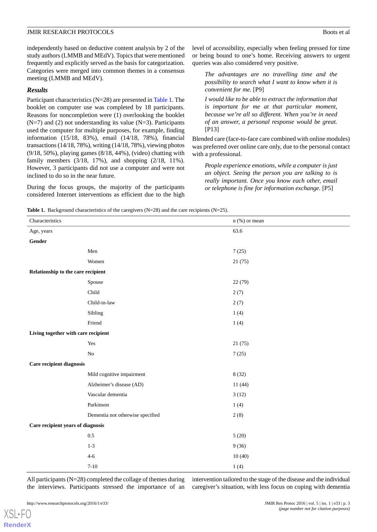independently based on deductive content analysis by 2 of the study authors (LMMB and MEdV). Topics that were mentioned frequently and explicitly served as the basis for categorization. Categories were merged into common themes in a consensus meeting (LMMB and MEdV).

#### *Results*

Participant characteristics (N=28) are presented in [Table 1.](#page-2-0) The booklet on computer use was completed by 18 participants. Reasons for noncompletion were (1) overlooking the booklet  $(N=7)$  and (2) not understanding its value  $(N=3)$ . Participants used the computer for multiple purposes, for example, finding information (15/18, 83%), email (14/18, 78%), financial transactions (14/18, 78%), writing (14/18, 78%), viewing photos (9/18, 50%), playing games (8/18, 44%), (video) chatting with family members (3/18, 17%), and shopping (2/18, 11%). However, 3 participants did not use a computer and were not inclined to do so in the near future.

<span id="page-2-0"></span>During the focus groups, the majority of the participants considered Internet interventions as efficient due to the high

level of accessibility, especially when feeling pressed for time or being bound to one's home. Receiving answers to urgent queries was also considered very positive.

*The advantages are no travelling time and the possibility to search what I want to know when it is convenient for me.* [P9]

*I would like to be able to extract the information that is important for me at that particular moment, because we're all so different. When you're in need of an answer, a personal response would be great.* [P13]

Blended care (face-to-face care combined with online modules) was preferred over online care only, due to the personal contact with a professional.

*People experience emotions, while a computer is just an object. Seeing the person you are talking to is really important. Once you know each other, email or telephone is fine for information exchange.* [P5]

Table 1. Background characteristics of the caregivers (N=28) and the care recipients (N=25).

| Characteristics                     |                                  | $n$ (%) or mean |  |
|-------------------------------------|----------------------------------|-----------------|--|
| Age, years                          |                                  | 63.6            |  |
| Gender                              |                                  |                 |  |
|                                     | Men                              | 7(25)           |  |
|                                     | Women                            | 21(75)          |  |
| Relationship to the care recipient  |                                  |                 |  |
|                                     | Spouse                           | 22 (79)         |  |
|                                     | Child                            | 2(7)            |  |
|                                     | Child-in-law                     | 2(7)            |  |
|                                     | Sibling                          | 1(4)            |  |
|                                     | Friend                           | 1(4)            |  |
| Living together with care recipient |                                  |                 |  |
|                                     | Yes                              | 21(75)          |  |
|                                     | $\rm No$                         | 7(25)           |  |
| Care recipient diagnosis            |                                  |                 |  |
|                                     | Mild cognitive impairment        | 8(32)           |  |
|                                     | Alzheimer's disease (AD)         | 11(44)          |  |
|                                     | Vascular dementia                | 3(12)           |  |
|                                     | Parkinson                        | 1(4)            |  |
|                                     | Dementia not otherwise specified | 2(8)            |  |
| Care recipient years of diagnosis   |                                  |                 |  |
|                                     | $0.5\,$                          | 5(20)           |  |
|                                     | $1 - 3$                          | 9(36)           |  |
|                                     | $4 - 6$                          | 10(40)          |  |
|                                     | $7 - 10$                         | 1(4)            |  |

All participants (N=28) completed the collage of themes during the interviews. Participants stressed the importance of an

intervention tailored to the stage of the disease and the individual caregiver's situation, with less focus on coping with dementia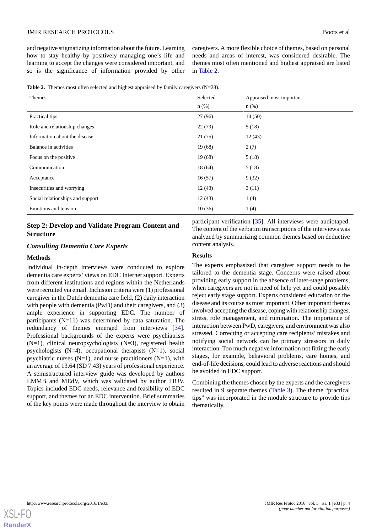and negative stigmatizing information about the future. Learning how to stay healthy by positively managing one's life and learning to accept the changes were considered important, and so is the significance of information provided by other

caregivers. A more flexible choice of themes, based on personal needs and areas of interest, was considered desirable. The themes most often mentioned and highest appraised are listed in [Table 2](#page-3-0).

<span id="page-3-0"></span>

|  | <b>Table 2.</b> Themes most often selected and highest appraised by family caregivers $(N=28)$ . |  |  |  |  |  |  |  |
|--|--------------------------------------------------------------------------------------------------|--|--|--|--|--|--|--|
|--|--------------------------------------------------------------------------------------------------|--|--|--|--|--|--|--|

| Themes                           | Selected | Appraised most important |
|----------------------------------|----------|--------------------------|
|                                  | $n$ (%)  | $n$ (%)                  |
| Practical tips                   | 27(96)   | 14(50)                   |
| Role and relationship changes    | 22(79)   | 5(18)                    |
| Information about the disease    | 21(75)   | 12(43)                   |
| Balance in activities            | 19(68)   | 2(7)                     |
| Focus on the positive            | 19(68)   | 5(18)                    |
| Communication                    | 18(64)   | 5(18)                    |
| Acceptance                       | 16(57)   | 9(32)                    |
| Insecurities and worrying        | 12(43)   | 3(11)                    |
| Social relationships and support | 12(43)   | 1(4)                     |
| Emotions and tension             | 10(36)   | 1(4)                     |

### **Step 2: Develop and Validate Program Content and Structure**

#### *Consulting Dementia Care Experts*

#### **Methods**

Individual in-depth interviews were conducted to explore dementia care experts' views on EDC Internet support. Experts from different institutions and regions within the Netherlands were recruited via email. Inclusion criteria were (1) professional caregiver in the Dutch dementia care field, (2) daily interaction with people with dementia (PwD) and their caregivers, and (3) ample experience in supporting EDC. The number of participants  $(N=11)$  was determined by data saturation. The redundancy of themes emerged from interviews [[34\]](#page-11-16). Professional backgrounds of the experts were psychiatrists  $(N=1)$ , clinical neuropsychologists  $(N=3)$ , registered health psychologists (N=4), occupational therapists (N=1), social psychiatric nurses  $(N=1)$ , and nurse practitioners  $(N=1)$ , with an average of 13.64 (SD 7.43) years of professional experience. A semistructured interview guide was developed by authors LMMB and MEdV, which was validated by author FRJV. Topics included EDC needs, relevance and feasibility of EDC support, and themes for an EDC intervention. Brief summaries of the key points were made throughout the interview to obtain

participant verification [[35\]](#page-11-17). All interviews were audiotaped. The content of the verbatim transcriptions of the interviews was analyzed by summarizing common themes based on deductive content analysis.

#### **Results**

The experts emphasized that caregiver support needs to be tailored to the dementia stage. Concerns were raised about providing early support in the absence of later-stage problems, when caregivers are not in need of help yet and could possibly reject early stage support. Experts considered education on the disease and its course as most important. Other important themes involved accepting the disease, coping with relationship changes, stress, role management, and rumination. The importance of interaction between PwD, caregivers, and environment was also stressed. Correcting or accepting care recipients' mistakes and notifying social network can be primary stressors in daily interaction. Too much negative information not fitting the early stages, for example, behavioral problems, care homes, and end-of-life decisions, could lead to adverse reactions and should be avoided in EDC support.

Combining the themes chosen by the experts and the caregivers resulted in 9 separate themes [\(Table 3](#page-4-0)). The theme "practical tips" was incorporated in the module structure to provide tips thematically.

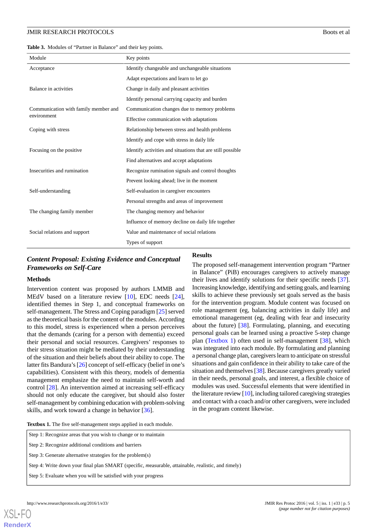<span id="page-4-0"></span>**Table 3.** Modules of "Partner in Balance" and their key points.

| Module                               | Key points                                                 |
|--------------------------------------|------------------------------------------------------------|
| Acceptance                           | Identify changeable and unchangeable situations            |
|                                      | Adapt expectations and learn to let go                     |
| Balance in activities                | Change in daily and pleasant activities                    |
|                                      | Identify personal carrying capacity and burden             |
| Communication with family member and | Communication changes due to memory problems               |
| environment                          | Effective communication with adaptations                   |
| Coping with stress                   | Relationship between stress and health problems            |
|                                      | Identify and cope with stress in daily life                |
| Focusing on the positive             | Identify activities and situations that are still possible |
|                                      | Find alternatives and accept adaptations                   |
| Insecurities and rumination          | Recognize rumination signals and control thoughts          |
|                                      | Prevent looking ahead; live in the moment                  |
| Self-understanding                   | Self-evaluation in caregiver encounters                    |
|                                      | Personal strengths and areas of improvement                |
| The changing family member           | The changing memory and behavior                           |
|                                      | Influence of memory decline on daily life together         |
| Social relations and support         | Value and maintenance of social relations                  |
|                                      | Types of support                                           |

**Results**

### *Content Proposal: Existing Evidence and Conceptual Frameworks on Self-Care*

#### **Methods**

Intervention content was proposed by authors LMMB and MEdV based on a literature review [\[10](#page-10-9)], EDC needs [[24\]](#page-11-6), identified themes in Step 1, and conceptual frameworks on self-management. The Stress and Coping paradigm [\[25](#page-11-7)] served as the theoretical basis for the content of the modules. According to this model, stress is experienced when a person perceives that the demands (caring for a person with dementia) exceed their personal and social resources. Caregivers' responses to their stress situation might be mediated by their understanding of the situation and their beliefs about their ability to cope. The latter fits Bandura's [\[26](#page-11-8)] concept of self-efficacy (belief in one's capabilities). Consistent with this theory, models of dementia management emphasize the need to maintain self-worth and control [[28\]](#page-11-10). An intervention aimed at increasing self-efficacy should not only educate the caregiver, but should also foster self-management by combining education with problem-solving skills, and work toward a change in behavior [\[36](#page-12-0)].

#### The proposed self-management intervention program "Partner in Balance" (PiB) encourages caregivers to actively manage their lives and identify solutions for their specific needs [[37\]](#page-12-1). Increasing knowledge, identifying and setting goals, and learning skills to achieve these previously set goals served as the basis for the intervention program. Module content was focused on role management (eg, balancing activities in daily life) and emotional management (eg, dealing with fear and insecurity about the future) [[38\]](#page-12-2). Formulating, planning, and executing personal goals can be learned using a proactive 5-step change plan ([Textbox 1\)](#page-4-1) often used in self-management [[38\]](#page-12-2), which was integrated into each module. By formulating and planning a personal change plan, caregivers learn to anticipate on stressful situations and gain confidence in their ability to take care of the situation and themselves [[38\]](#page-12-2). Because caregivers greatly varied in their needs, personal goals, and interest, a flexible choice of modules was used. Successful elements that were identified in the literature review [[10\]](#page-10-9), including tailored caregiving strategies

and contact with a coach and/or other caregivers, were included

in the program content likewise.

<span id="page-4-1"></span>Textbox 1. The five self-management steps applied in each module

| Step 1: Recognize areas that you wish to change or to maintain |  |  |
|----------------------------------------------------------------|--|--|
|                                                                |  |  |

Step 2: Recognize additional conditions and barriers

Step 3: Generate alternative strategies for the problem(s)

Step 4: Write down your final plan SMART (*s*pecific, *m*easurable, *a*ttainable, *r*ealistic, and *t*imely)

Step 5: Evaluate when you will be satisfied with your progress

**[RenderX](http://www.renderx.com/)**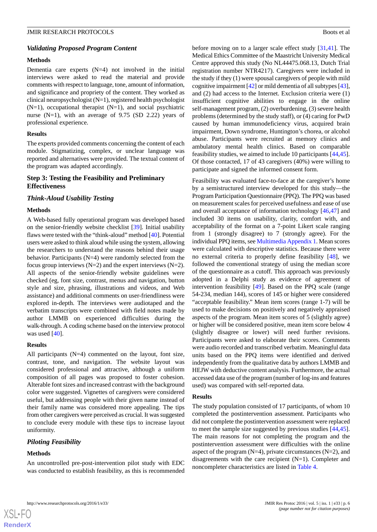#### *Validating Proposed Program Content*

#### **Methods**

Dementia care experts  $(N=4)$  not involved in the initial interviews were asked to read the material and provide comments with respect to language, tone, amount of information, and significance and propriety of the content. They worked as clinical neuropsychologist (N=1), registered health psychologist  $(N=1)$ , occupational therapist  $(N=1)$ , and social psychiatric nurse  $(N=1)$ , with an average of 9.75 (SD 2.22) years of professional experience.

#### **Results**

The experts provided comments concerning the content of each module. Stigmatizing, complex, or unclear language was reported and alternatives were provided. The textual content of the program was adapted accordingly.

#### **Step 3: Testing the Feasibility and Preliminary Effectiveness**

#### *Think-Aloud Usability Testing*

#### **Methods**

A Web-based fully operational program was developed based on the senior-friendly website checklist [[39\]](#page-12-3). Initial usability flaws were tested with the "think-aloud" method [\[40](#page-12-4)]. Potential users were asked to think aloud while using the system, allowing the researchers to understand the reasons behind their usage behavior. Participants (N=4) were randomly selected from the focus group interviews  $(N=2)$  and the expert interviews  $(N=2)$ . All aspects of the senior-friendly website guidelines were checked (eg, font size, contrast, menus and navigation, button style and size, phrasing, illustrations and videos, and Web assistance) and additional comments on user-friendliness were explored in-depth. The interviews were audiotaped and the verbatim transcripts were combined with field notes made by author LMMB on experienced difficulties during the walk-through. A coding scheme based on the interview protocol was used [[40\]](#page-12-4).

#### **Results**

All participants (N=4) commented on the layout, font size, contrast, tone, and navigation. The website layout was considered professional and attractive, although a uniform composition of all pages was proposed to foster cohesion. Alterable font sizes and increased contrast with the background color were suggested. Vignettes of caregivers were considered useful, but addressing people with their given name instead of their family name was considered more appealing. The tips from other caregivers were perceived as crucial. It was suggested to conclude every module with these tips to increase layout uniformity.

#### *Piloting Feasibility*

#### **Methods**

 $XS$  $\cdot$ FC **[RenderX](http://www.renderx.com/)**

An uncontrolled pre-post-intervention pilot study with EDC was conducted to establish feasibility, as this is recommended before moving on to a larger scale effect study [\[31](#page-11-13),[41\]](#page-12-5). The Medical Ethics Committee of the Maastricht University Medical Centre approved this study (No NL44475.068.13, Dutch Trial registration number NTR4217). Caregivers were included in the study if they (1) were spousal caregivers of people with mild cognitive impairment [\[42](#page-12-6)] or mild dementia of all subtypes [\[43](#page-12-7)], and (2) had access to the Internet. Exclusion criteria were (1) insufficient cognitive abilities to engage in the online self-management program, (2) overburdening, (3) severe health problems (determined by the study staff), or (4) caring for PwD caused by human immunodeficiency virus, acquired brain impairment, Down syndrome, Huntington's chorea, or alcohol abuse. Participants were recruited at memory clinics and ambulatory mental health clinics. Based on comparable feasibility studies, we aimed to include 10 participants [\[44](#page-12-8),[45\]](#page-12-9). Of those contacted, 17 of 43 caregivers (40%) were willing to participate and signed the informed consent form.

Feasibility was evaluated face-to-face at the caregiver's home by a semistructured interview developed for this study—the Program Participation Questionnaire (PPQ). The PPQ was based on measurement scales for perceived usefulness and ease of use and overall acceptance of information technology [[46,](#page-12-10)[47](#page-12-11)] and included 30 items on usability, clarity, comfort with, and acceptability of the format on a 7-point Likert scale ranging from 1 (strongly disagree) to 7 (strongly agree). For the individual PPQ items, see [Multimedia Appendix 1](#page-10-11). Mean scores were calculated with descriptive statistics. Because there were no external criteria to properly define feasibility [\[48](#page-12-12)], we followed the conventional strategy of using the median score of the questionnaire as a cutoff. This approach was previously adopted in a Delphi study as evidence of agreement of intervention feasibility [[49\]](#page-12-13). Based on the PPQ scale (range 54-234, median 144), scores of 145 or higher were considered "acceptable feasibility." Mean item scores (range 1-7) will be used to make decisions on positively and negatively appraised aspects of the program. Mean item scores of 5 (slightly agree) or higher will be considered positive, mean item score below 4 (slightly disagree or lower) will need further revisions. Participants were asked to elaborate their scores. Comments were audio recorded and transcribed verbatim. Meaningful data units based on the PPQ items were identified and derived independently from the qualitative data by authors LMMB and HEJW with deductive content analysis. Furthermore, the actual accessed data use of the program (number of log-ins and features used) was compared with self-reported data.

#### **Results**

The study population consisted of 17 participants, of whom 10 completed the postintervention assessment. Participants who did not complete the postintervention assessment were replaced to meet the sample size suggested by previous studies [\[44](#page-12-8),[45\]](#page-12-9). The main reasons for not completing the program and the postintervention assessment were difficulties with the online aspect of the program  $(N=4)$ , private circumstances  $(N=2)$ , and disagreements with the care recipient (N=1). Completer and noncompleter characteristics are listed in [Table 4.](#page-6-0)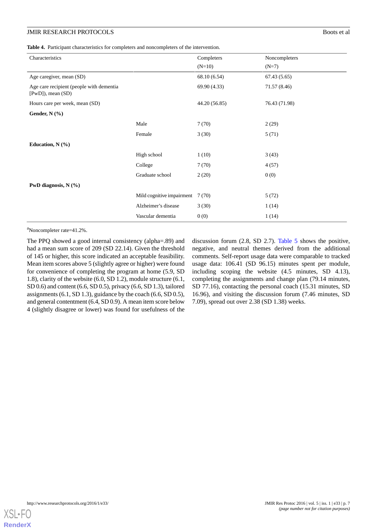<span id="page-6-0"></span>**Table 4.** Participant characteristics for completers and noncompleters of the intervention.

| Characteristics                                                   |                           | Completers    | Noncompleters |
|-------------------------------------------------------------------|---------------------------|---------------|---------------|
|                                                                   |                           | $(N=10)$      | $(N=7)$       |
| Age caregiver, mean (SD)                                          |                           | 68.10 (6.54)  | 67.43(5.65)   |
| Age care recipient (people with dementia<br>$[PWD]$ , mean $(SD)$ |                           | 69.90 (4.33)  | 71.57 (8.46)  |
| Hours care per week, mean (SD)                                    |                           | 44.20 (56.85) | 76.43 (71.98) |
| Gender, N (%)                                                     |                           |               |               |
|                                                                   | Male                      | 7(70)         | 2(29)         |
|                                                                   | Female                    | 3(30)         | 5(71)         |
| Education, $N$ $(\frac{9}{6})$                                    |                           |               |               |
|                                                                   | High school               | 1(10)         | 3(43)         |
|                                                                   | College                   | 7(70)         | 4(57)         |
|                                                                   | Graduate school           | 2(20)         | 0(0)          |
| PwD diagnosis, $N$ (%)                                            |                           |               |               |
|                                                                   | Mild cognitive impairment | 7(70)         | 5(72)         |
|                                                                   | Alzheimer's disease       | 3(30)         | 1(14)         |
|                                                                   | Vascular dementia         | 0(0)          | 1(14)         |

<sup>a</sup>Noncompleter rate=41.2%.

The PPQ showed a good internal consistency (alpha=.89) and had a mean sum score of 209 (SD 22.14). Given the threshold of 145 or higher, this score indicated an acceptable feasibility. Mean item scores above 5 (slightly agree or higher) were found for convenience of completing the program at home (5.9, SD 1.8), clarity of the website (6.0, SD 1.2), module structure (6.1, SD 0.6) and content (6.6, SD 0.5), privacy (6.6, SD 1.3), tailored assignments (6.1, SD 1.3), guidance by the coach (6.6, SD 0.5), and general contentment (6.4, SD 0.9). A mean item score below 4 (slightly disagree or lower) was found for usefulness of the

discussion forum (2.8, SD 2.7). [Table 5](#page-7-0) shows the positive, negative, and neutral themes derived from the additional comments. Self-report usage data were comparable to tracked usage data: 106.41 (SD 96.15) minutes spent per module, including scoping the website (4.5 minutes, SD 4.13), completing the assignments and change plan (79.14 minutes, SD 77.16), contacting the personal coach (15.31 minutes, SD 16.96), and visiting the discussion forum (7.46 minutes, SD 7.09), spread out over 2.38 (SD 1.38) weeks.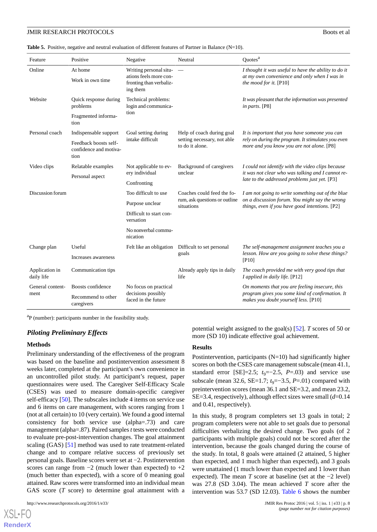<span id="page-7-0"></span>**Table 5.** Positive, negative and neutral evaluation of different features of Partner in Balance (N=10).

| Feature                      | Positive                                                | Negative                                                      | Neutral                                        | Quotes <sup>a</sup>                                                                                |  |  |
|------------------------------|---------------------------------------------------------|---------------------------------------------------------------|------------------------------------------------|----------------------------------------------------------------------------------------------------|--|--|
| Online                       | At home                                                 | Writing personal situ-                                        |                                                | I thought it was useful to have the ability to do it                                               |  |  |
|                              | Work in own time                                        | ations feels more con-<br>fronting than verbaliz-<br>ing them |                                                | at my own convenience and only when I was in<br>the mood for it. [P10]                             |  |  |
| Website                      | Quick response during<br>problems                       | Technical problems:<br>login and communica-                   |                                                | It was pleasant that the information was presented<br>in parts. [P8]                               |  |  |
|                              | Fragmented informa-<br>tion                             | tion                                                          |                                                |                                                                                                    |  |  |
| Personal coach               | Indispensable support                                   | Goal setting during                                           | Help of coach during goal                      | It is important that you have someone you can                                                      |  |  |
|                              | Feedback boosts self-<br>confidence and motiva-<br>tion | intake difficult                                              | setting necessary, not able<br>to do it alone. | rely on during the program. It stimulates you even<br>more and you know you are not alone. [P8]    |  |  |
| Video clips                  | Relatable examples                                      | Not applicable to ev-                                         | Background of caregivers<br>unclear            | I could not identify with the video clips because                                                  |  |  |
|                              | Personal aspect                                         | ery individual                                                |                                                | it was not clear who was talking and I cannot re-<br>late to the addressed problems just yet. [P3] |  |  |
|                              |                                                         | Confronting                                                   |                                                |                                                                                                    |  |  |
| Discussion forum             |                                                         | Too difficult to use                                          | Coaches could feed the fo-                     | I am not going to write something out of the blue                                                  |  |  |
|                              |                                                         | Purpose unclear                                               | rum, ask questions or outline<br>situations    | on a discussion forum. You might say the wrong<br>things, even if you have good intentions. [P2]   |  |  |
|                              |                                                         | Difficult to start con-<br>versation                          |                                                |                                                                                                    |  |  |
|                              |                                                         | No nonverbal commu-<br>nication                               |                                                |                                                                                                    |  |  |
| Change plan                  | Useful                                                  | Felt like an obligation                                       | Difficult to set personal                      | The self-management assignment teaches you a                                                       |  |  |
|                              | Increases awareness                                     | goals                                                         |                                                | lesson. How are you going to solve these things?<br>$[{\rm P10}]$                                  |  |  |
| Application in<br>daily life | Communication tips                                      |                                                               | Already apply tips in daily<br>life            | The coach provided me with very good tips that<br>I applied in daily life. [P12]                   |  |  |
| General content-             | Boosts confidence                                       | No focus on practical                                         |                                                | On moments that you are feeling insecure, this                                                     |  |  |
| ment                         | Recommend to other<br>caregivers                        | decisions possibly<br>faced in the future                     |                                                | program gives you some kind of confirmation. It<br>makes you doubt yourself less. [P10]            |  |  |

<sup>a</sup>P (number): participants number in the feasibility study.

#### *Piloting Preliminary Effects*

#### **Methods**

Preliminary understanding of the effectiveness of the program was based on the baseline and postintervention assessment 8 weeks later, completed at the participant's own convenience in an uncontrolled pilot study. At participant's request, paper questionnaires were used. The Caregiver Self-Efficacy Scale (CSES) was used to measure domain-specific caregiver self-efficacy [\[50](#page-12-14)]. The subscales include 4 items on service use and 6 items on care management, with scores ranging from 1 (not at all certain) to 10 (very certain). We found a good internal consistency for both service use (alpha=.73) and care management (alpha=.87). Paired samples *t* tests were conducted to evaluate pre-post-intervention changes. The goal attainment scaling (GAS) [\[51](#page-12-15)] method was used to rate treatment-related change and to compare relative success of previously set personal goals. Baseline scores were set at −2. Postintervention scores can range from  $-2$  (much lower than expected) to  $+2$ (much better than expected), with a score of 0 meaning goal attained. Raw scores were transformed into an individual mean GAS score (*T* score) to determine goal attainment with a

[XSL](http://www.w3.org/Style/XSL)•FO **[RenderX](http://www.renderx.com/)**

potential weight assigned to the goal(s) [[52\]](#page-12-16). *T* scores of 50 or more (SD 10) indicate effective goal achievement.

#### **Results**

Postintervention, participants  $(N=10)$  had significantly higher scores on both the CSES care management subscale (mean 41.1, standard error [SE]=2.5;  $t_9$ =−2.5,  $P$ =.03) and service use subscale (mean 32.6, SE=1.7;  $t_9 = -3.5$ ,  $P = .01$ ) compared with preintervention scores (mean 36.1 and SE=3.2, and mean 23.2, SE=3.4, respectively), although effect sizes were small (*d*=0.14 and 0.41, respectively).

In this study, 8 program completers set 13 goals in total; 2 program completers were not able to set goals due to personal difficulties verbalizing the desired change. Two goals (of 2 participants with multiple goals) could not be scored after the intervention, because the goals changed during the course of the study. In total, 8 goals were attained (2 attained, 5 higher than expected, and 1 much higher than expected), and 3 goals were unattained (1 much lower than expected and 1 lower than expected). The mean *T* score at baseline (set at the −2 level) was 27.8 (SD 3.04). The mean achieved *T* score after the intervention was 53.7 (SD 12.03). [Table 6](#page-8-0) shows the number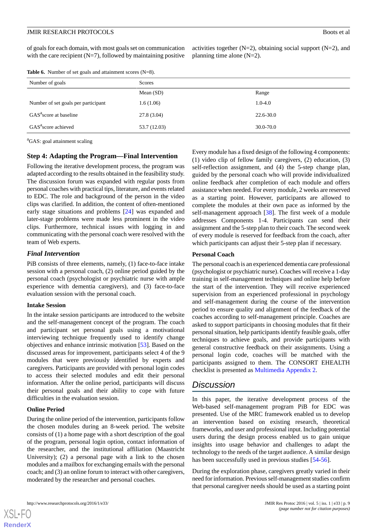of goals for each domain, with most goals set on communication with the care recipient  $(N=7)$ , followed by maintaining positive

activities together  $(N=2)$ , obtaining social support  $(N=2)$ , and planning time alone (N=2).

<span id="page-8-0"></span>

|  |  |  |  | Table 6. Number of set goals and attainment scores $(N=8)$ . |  |  |
|--|--|--|--|--------------------------------------------------------------|--|--|
|--|--|--|--|--------------------------------------------------------------|--|--|

| Number of goals                     | Scores       |             |  |  |  |
|-------------------------------------|--------------|-------------|--|--|--|
|                                     | Mean $(SD)$  | Range       |  |  |  |
| Number of set goals per participant | 1.6(1.06)    | $1.0 - 4.0$ |  |  |  |
| GAS <sup>a</sup> score at baseline  | 27.8(3.04)   | 22.6-30.0   |  |  |  |
| GAS <sup>a</sup> score achieved     | 53.7 (12.03) | 30.0-70.0   |  |  |  |

<sup>a</sup>GAS: goal attainment scaling

#### **Step 4: Adapting the Program—Final Intervention**

Following the iterative development process, the program was adapted according to the results obtained in the feasibility study. The discussion forum was expanded with regular posts from personal coaches with practical tips, literature, and events related to EDC. The role and background of the person in the video clips was clarified. In addition, the content of often-mentioned early stage situations and problems [[24\]](#page-11-6) was expanded and later-stage problems were made less prominent in the video clips. Furthermore, technical issues with logging in and communicating with the personal coach were resolved with the team of Web experts.

#### *Final Intervention*

PiB consists of three elements, namely, (1) face-to-face intake session with a personal coach, (2) online period guided by the personal coach (psychologist or psychiatric nurse with ample experience with dementia caregivers), and (3) face-to-face evaluation session with the personal coach.

#### **Intake Session**

In the intake session participants are introduced to the website and the self-management concept of the program. The coach and participant set personal goals using a motivational interviewing technique frequently used to identify change objectives and enhance intrinsic motivation [[53\]](#page-12-17). Based on the discussed areas for improvement, participants select 4 of the 9 modules that were previously identified by experts and caregivers. Participants are provided with personal login codes to access their selected modules and edit their personal information. After the online period, participants will discuss their personal goals and their ability to cope with future difficulties in the evaluation session.

#### **Online Period**

During the online period of the intervention, participants follow the chosen modules during an 8-week period. The website consists of (1) a home page with a short description of the goal of the program, personal login option, contact information of the researcher, and the institutional affiliation (Maastricht University); (2) a personal page with a link to the chosen modules and a mailbox for exchanging emails with the personal coach; and (3) an online forum to interact with other caregivers, moderated by the researcher and personal coaches.

Every module has a fixed design of the following 4 components: (1) video clip of fellow family caregivers, (2) education, (3) self-reflection assignment, and (4) the 5-step change plan, guided by the personal coach who will provide individualized online feedback after completion of each module and offers assistance when needed. For every module, 2 weeks are reserved as a starting point. However, participants are allowed to complete the modules at their own pace as informed by the self-management approach [[38\]](#page-12-2). The first week of a module addresses Components 1-4. Participants can send their assignment and the 5-step plan to their coach. The second week of every module is reserved for feedback from the coach, after which participants can adjust their 5-step plan if necessary.

#### **Personal Coach**

The personal coach is an experienced dementia care professional (psychologist or psychiatric nurse). Coaches will receive a 1-day training in self-management techniques and online help before the start of the intervention. They will receive experienced supervision from an experienced professional in psychology and self-management during the course of the intervention period to ensure quality and alignment of the feedback of the coaches according to self-management principle. Coaches are asked to support participants in choosing modules that fit their personal situation, help participants identify feasible goals, offer techniques to achieve goals, and provide participants with general constructive feedback on their assignments. Using a personal login code, coaches will be matched with the participants assigned to them. The CONSORT EHEALTH checklist is presented as [Multimedia Appendix 2.](#page-10-12)

### *Discussion*

In this paper, the iterative development process of the Web-based self-management program PiB for EDC was presented. Use of the MRC framework enabled us to develop an intervention based on existing research, theoretical frameworks, and user and professional input. Including potential users during the design process enabled us to gain unique insights into usage behavior and challenges to adapt the technology to the needs of the target audience. A similar design has been successfully used in previous studies [[54-](#page-12-18)[56\]](#page-12-19).

During the exploration phase, caregivers greatly varied in their need for information. Previous self-management studies confirm that personal caregiver needs should be used as a starting point

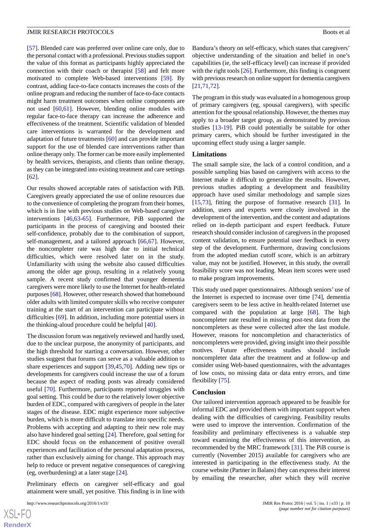[[57\]](#page-12-20). Blended care was preferred over online care only, due to the personal contact with a professional. Previous studies support the value of this format as participants highly appreciated the connection with their coach or therapist [\[58](#page-12-21)] and felt more motivated to complete Web-based interventions [[59\]](#page-12-22). By contrast, adding face-to-face contacts increases the costs of the online program and reducing the number of face-to-face contacts might harm treatment outcomes when online components are not used [\[60](#page-13-0),[61\]](#page-13-1). However, blending online modules with regular face-to-face therapy can increase the adherence and effectiveness of the treatment. Scientific validation of blended care interventions is warranted for the development and adaptation of future treatments [\[60](#page-13-0)] and can provide important support for the use of blended care interventions rather than online therapy only. The former can be more easily implemented by health services, therapists, and clients than online therapy, as they can be integrated into existing treatment and care settings [[62\]](#page-13-2).

Our results showed acceptable rates of satisfaction with PiB. Caregivers greatly appreciated the use of online resources due to the convenience of completing the program from their homes, which is in line with previous studies on Web-based caregiver interventions [\[46](#page-12-10),[63](#page-13-3)[-65](#page-13-4)]. Furthermore, PiB supported the participants in the process of caregiving and boosted their self-confidence, probably due to the combination of support, self-management, and a tailored approach [[66,](#page-13-5)[67](#page-13-6)]. However, the noncompleter rate was high due to initial technical difficulties, which were resolved later on in the study. Unfamiliarity with using the website also caused difficulties among the older age group, resulting in a relatively young sample. A recent study confirmed that younger dementia caregivers were more likely to use the Internet for health-related purposes [[68\]](#page-13-7). However, other research showed that homebound older adults with limited computer skills who receive computer training at the start of an intervention can participate without difficulties [[69\]](#page-13-8). In addition, including more potential users in the thinking-aloud procedure could be helpful [[40\]](#page-12-4).

The discussion forum was negatively reviewed and hardly used, due to the unclear purpose, the anonymity of participants, and the high threshold for starting a conversation. However, other studies suggest that forums can serve as a valuable addition to share experiences and support [\[39](#page-12-3)[,45](#page-12-9)[,70](#page-13-9)]. Adding new tips or developments for caregivers could increase the use of a forum because the aspect of reading posts was already considered useful [[70\]](#page-13-9). Furthermore, participants reported struggles with goal setting. This could be due to the relatively lower objective burden of EDC, compared with caregivers of people in the later stages of the disease. EDC might experience more subjective burden, which is more difficult to translate into specific needs. Problems with accepting and adapting to their new role may also have hindered goal setting [[24\]](#page-11-6). Therefore, goal setting for EDC should focus on the enhancement of positive overall experiences and facilitation of the personal adaptation process, rather than exclusively aiming for change. This approach may help to reduce or prevent negative consequences of caregiving (eg, overburdening) at a later stage [\[24](#page-11-6)].

Preliminary effects on caregiver self-efficacy and goal attainment were small, yet positive. This finding is in line with

```
http://www.researchprotocols.org/2016/1/e33/ JMIR Res Protoc 2016 | vol. 5 | iss. 1 | e33 | p. 10
```
[XSL](http://www.w3.org/Style/XSL)•FO **[RenderX](http://www.renderx.com/)** Bandura's theory on self-efficacy, which states that caregivers' objective understanding of the situation and belief in one's capabilities (ie, the self-efficacy level) can increase if provided with the right tools [[26\]](#page-11-8). Furthermore, this finding is congruent with previous research on online support for dementia caregivers [[21,](#page-11-4)[71,](#page-13-10)[72\]](#page-13-11).

The program in this study was evaluated in a homogenous group of primary caregivers (eg, spousal caregivers), with specific attention for the spousal relationship. However, the themes may apply to a broader target group, as demonstrated by previous studies [\[13](#page-11-1)-[19\]](#page-11-2). PiB could potentially be suitable for other primary carers, which should be further investigated in the upcoming effect study using a larger sample.

#### **Limitations**

The small sample size, the lack of a control condition, and a possible sampling bias based on caregivers with access to the Internet make it difficult to generalize the results. However, previous studies adopting a development and feasibility approach have used similar methodology and sample sizes [[15,](#page-11-18)[73\]](#page-13-12), fitting the purpose of formative research [\[31](#page-11-13)]. In addition, users and experts were closely involved in the development of the intervention, and the content and adaptations relied on in-depth participant and expert feedback. Future research should consider inclusion of caregivers in the proposed content validation, to ensure potential user feedback in every step of the development. Furthermore, drawing conclusions from the adopted median cutoff score, which is an arbitrary value, may not be justified. However, in this study, the overall feasibility score was not leading. Mean item scores were used to make program improvements.

This study used paper questionnaires. Although seniors' use of the Internet is expected to increase over time [[74\]](#page-13-13), dementia caregivers seem to be less active in health-related Internet use compared with the population at large [\[68](#page-13-7)]. The high noncompleter rate resulted in missing post-test data from the noncompleters as these were collected after the last module. However, reasons for noncompletion and characteristics of noncompleters were provided, giving insight into their possible motives. Future effectiveness studies should include noncompleter data after the treatment and at follow-up and consider using Web-based questionnaires, with the advantages of low costs, no missing data or data entry errors, and time flexibility [[75\]](#page-13-14).

#### **Conclusion**

Our tailored intervention approach appeared to be feasible for informal EDC and provided them with important support when dealing with the difficulties of caregiving. Feasibility results were used to improve the intervention. Confirmation of the feasibility and preliminary effectiveness is a valuable step toward examining the effectiveness of this intervention, as recommended by the MRC framework [[31\]](#page-11-13). The PiB course is currently (November 2015) available for caregivers who are interested in participating in the effectiveness study. At the course website (Partner in Balans) they can express their interest by emailing the researcher, after which they will receive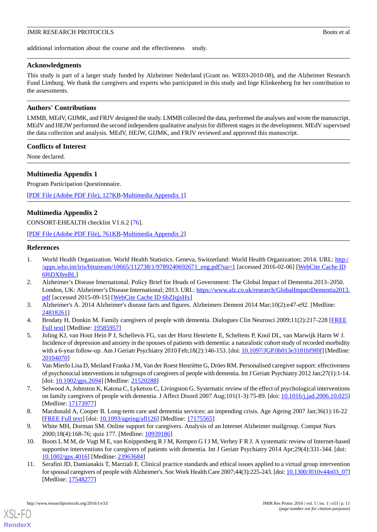additional information about the course and the effectiveness study.

#### **Acknowledgments**

This study is part of a larger study funded by Alzheimer Nederland (Grant no. WE03-2010-08), and the Alzheimer Research Fund Limburg. We thank the caregivers and experts who participated in this study and Inge Klinkenberg for her contribution to the assessments.

#### **Authors' Contributions**

LMMB, MEdV, GIJMK, and FRJV designed the study. LMMB collected the data, performed the analyses and wrote the manuscript. MEdV and HEJW performed the second independent qualitative analysis for different stages in the development. MEdV supervised the data collection and analysis. MEdV, HEJW, GIJMK, and FRJV reviewed and approved this manuscript.

#### **Conflicts of Interest**

<span id="page-10-11"></span>None declared.

#### **Multimedia Appendix 1**

Program Participation Questionnaire.

<span id="page-10-12"></span>[[PDF File \(Adobe PDF File\), 127KB-Multimedia Appendix 1](https://jmir.org/api/download?alt_name=resprot_v5i1e33_app1.pdf&filename=bba1cb855eeaf489b6ee6545b74a0e8e.pdf)]

#### **Multimedia Appendix 2**

CONSORT-EHEALTH checklist V1.6.2 [[76\]](#page-13-15).

<span id="page-10-0"></span>[[PDF File \(Adobe PDF File\), 761KB-Multimedia Appendix 2](https://jmir.org/api/download?alt_name=jmir_v5i1e33_app2.pdf&filename=77de7a4f2ed5d25950de1849f9b020bd.pdf)]

#### **References**

- <span id="page-10-1"></span>1. World Health Organization. World Health Statistics. Geneva, Switzerland: World Health Organization; 2014. URL: [http:/](http://apps.who.int/iris/bitstream/10665/112738/1/9789240692671_eng.pdf?ua=1) [/apps.who.int/iris/bitstream/10665/112738/1/9789240692671\\_eng.pdf?ua=1](http://apps.who.int/iris/bitstream/10665/112738/1/9789240692671_eng.pdf?ua=1) [accessed 2016-02-06] [\[WebCite Cache ID](http://www.webcitation.org/

                                6f6DX8mBL) [6f6DX8mBL\]](http://www.webcitation.org/

                                6f6DX8mBL)
- <span id="page-10-3"></span><span id="page-10-2"></span>2. Alzheimer's Disease International. Policy Brief for Heads of Government: The Global Impact of Dementia 2013–2050. London, UK: Alzheimer's Disease International; 2013. URL: [https://www.alz.co.uk/research/GlobalImpactDementia2013.](https://www.alz.co.uk/research/GlobalImpactDementia2013.pdf) [pdf](https://www.alz.co.uk/research/GlobalImpactDementia2013.pdf) [accessed 2015-09-15] [[WebCite Cache ID 6bZIqjsHx](http://www.webcitation.org/

                                6bZIqjsHx)]
- <span id="page-10-4"></span>3. Alzheimer's A. 2014 Alzheimer's disease facts and figures. Alzheimers Dement 2014 Mar;10(2):e47-e92. [Medline: [24818261](http://www.ncbi.nlm.nih.gov/entrez/query.fcgi?cmd=Retrieve&db=PubMed&list_uids=24818261&dopt=Abstract)]
- 4. Brodaty H, Donkin M. Family caregivers of people with dementia. Dialogues Clin Neurosci 2009;11(2):217-228 [\[FREE](http://www.dialogues-cns.com/publication/family-caregivers-of-people-with-dementia) [Full text\]](http://www.dialogues-cns.com/publication/family-caregivers-of-people-with-dementia) [Medline: [19585957\]](http://www.ncbi.nlm.nih.gov/entrez/query.fcgi?cmd=Retrieve&db=PubMed&list_uids=19585957&dopt=Abstract)
- <span id="page-10-6"></span><span id="page-10-5"></span>5. Joling KJ, van Hout Hein P J, Schellevis FG, van der Horst Henriette E, Scheltens P, Knol DL, van Marwijk Harm W J. Incidence of depression and anxiety in the spouses of patients with dementia: a naturalistic cohort study of recorded morbidity with a 6-year follow-up. Am J Geriatr Psychiatry 2010 Feb;18(2):146-153. [doi: [10.1097/JGP.0b013e3181bf9f0f](http://dx.doi.org/10.1097/JGP.0b013e3181bf9f0f)] [Medline: [20104070](http://www.ncbi.nlm.nih.gov/entrez/query.fcgi?cmd=Retrieve&db=PubMed&list_uids=20104070&dopt=Abstract)]
- <span id="page-10-7"></span>6. Van Mierlo Lisa D, Meiland Franka J M, Van der Roest Henriëtte G, Dröes RM. Personalised caregiver support: effectiveness of psychosocial interventions in subgroups of caregivers of people with dementia. Int J Geriatr Psychiatry 2012 Jan;27(1):1-14. [doi: [10.1002/gps.2694\]](http://dx.doi.org/10.1002/gps.2694) [Medline: [21520288](http://www.ncbi.nlm.nih.gov/entrez/query.fcgi?cmd=Retrieve&db=PubMed&list_uids=21520288&dopt=Abstract)]
- <span id="page-10-9"></span><span id="page-10-8"></span>7. Selwood A, Johnston K, Katona C, Lyketsos C, Livingston G. Systematic review of the effect of psychological interventions on family caregivers of people with dementia. J Affect Disord 2007 Aug;101(1-3):75-89. [doi: [10.1016/j.jad.2006.10.025](http://dx.doi.org/10.1016/j.jad.2006.10.025)] [Medline: [17173977](http://www.ncbi.nlm.nih.gov/entrez/query.fcgi?cmd=Retrieve&db=PubMed&list_uids=17173977&dopt=Abstract)]
- <span id="page-10-10"></span>8. Macdonald A, Cooper B. Long-term care and dementia services: an impending crisis. Age Ageing 2007 Jan;36(1):16-22 [[FREE Full text](http://ageing.oxfordjournals.org/cgi/pmidlookup?view=long&pmid=17175565)] [doi: [10.1093/ageing/afl126\]](http://dx.doi.org/10.1093/ageing/afl126) [Medline: [17175565\]](http://www.ncbi.nlm.nih.gov/entrez/query.fcgi?cmd=Retrieve&db=PubMed&list_uids=17175565&dopt=Abstract)
- 9. White MH, Dorman SM. Online support for caregivers. Analysis of an Internet Alzheimer mailgroup. Comput Nurs 2000;18(4):168-76; quiz 177. [Medline: [10939186](http://www.ncbi.nlm.nih.gov/entrez/query.fcgi?cmd=Retrieve&db=PubMed&list_uids=10939186&dopt=Abstract)]
- 10. Boots L M M, de Vugt M E, van Knippenberg R J M, Kempen G I J M, Verhey F R J. A systematic review of Internet-based supportive interventions for caregivers of patients with dementia. Int J Geriatr Psychiatry 2014 Apr;29(4):331-344. [doi: [10.1002/gps.4016](http://dx.doi.org/10.1002/gps.4016)] [Medline: [23963684\]](http://www.ncbi.nlm.nih.gov/entrez/query.fcgi?cmd=Retrieve&db=PubMed&list_uids=23963684&dopt=Abstract)
- 11. Serafini JD, Damianakis T, Marziali E. Clinical practice standards and ethical issues applied to a virtual group intervention for spousal caregivers of people with Alzheimer's. Soc Work Health Care 2007;44(3):225-243. [doi: [10.1300/J010v44n03\\_07\]](http://dx.doi.org/10.1300/J010v44n03_07) [Medline: [17548277](http://www.ncbi.nlm.nih.gov/entrez/query.fcgi?cmd=Retrieve&db=PubMed&list_uids=17548277&dopt=Abstract)]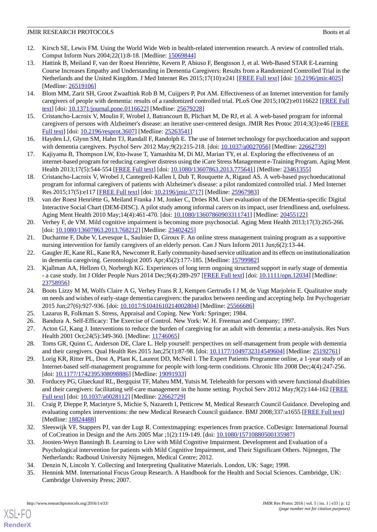- <span id="page-11-0"></span>12. Kirsch SE, Lewis FM. Using the World Wide Web in health-related intervention research. A review of controlled trials. Comput Inform Nurs 2004;22(1):8-18. [Medline: [15069844\]](http://www.ncbi.nlm.nih.gov/entrez/query.fcgi?cmd=Retrieve&db=PubMed&list_uids=15069844&dopt=Abstract)
- <span id="page-11-1"></span>13. Hattink B, Meiland F, van der Roest Henriëtte, Kevern P, Abiuso F, Bengtsson J, et al. Web-Based STAR E-Learning Course Increases Empathy and Understanding in Dementia Caregivers: Results from a Randomized Controlled Trial in the Netherlands and the United Kingdom. J Med Internet Res 2015;17(10):e241 [\[FREE Full text\]](http://www.jmir.org/2015/10/e241/) [doi: [10.2196/jmir.4025\]](http://dx.doi.org/10.2196/jmir.4025) [Medline: [26519106](http://www.ncbi.nlm.nih.gov/entrez/query.fcgi?cmd=Retrieve&db=PubMed&list_uids=26519106&dopt=Abstract)]
- 14. Blom MM, Zarit SH, Groot Zwaaftink Rob B M, Cuijpers P, Pot AM. Effectiveness of an Internet intervention for family caregivers of people with dementia: results of a randomized controlled trial. PLoS One 2015;10(2):e0116622 [\[FREE Full](http://dx.plos.org/10.1371/journal.pone.0116622) [text](http://dx.plos.org/10.1371/journal.pone.0116622)] [doi: [10.1371/journal.pone.0116622\]](http://dx.doi.org/10.1371/journal.pone.0116622) [Medline: [25679228](http://www.ncbi.nlm.nih.gov/entrez/query.fcgi?cmd=Retrieve&db=PubMed&list_uids=25679228&dopt=Abstract)]
- <span id="page-11-18"></span>15. Cristancho-Lacroix V, Moulin F, Wrobel J, Batrancourt B, Plichart M, De RJ, et al. A web-based program for informal caregivers of persons with Alzheimer's disease: an iterative user-centered design. JMIR Res Protoc 2014;3(3):e46 [\[FREE](http://www.researchprotocols.org/2014/3/e46/) [Full text\]](http://www.researchprotocols.org/2014/3/e46/) [doi: [10.2196/resprot.3607\]](http://dx.doi.org/10.2196/resprot.3607) [Medline: [25263541](http://www.ncbi.nlm.nih.gov/entrez/query.fcgi?cmd=Retrieve&db=PubMed&list_uids=25263541&dopt=Abstract)]
- 16. Hayden LJ, Glynn SM, Hahn TJ, Randall F, Randolph E. The use of Internet technology for psychoeducation and support with dementia caregivers. Psychol Serv 2012 May;9(2):215-218. [doi: [10.1037/a0027056\]](http://dx.doi.org/10.1037/a0027056) [Medline: [22662739\]](http://www.ncbi.nlm.nih.gov/entrez/query.fcgi?cmd=Retrieve&db=PubMed&list_uids=22662739&dopt=Abstract)
- 17. Kajiyama B, Thompson LW, Eto-Iwase T, Yamashita M, Di MJ, Marian TY, et al. Exploring the effectiveness of an internet-based program for reducing caregiver distress using the iCare Stress Management e-Training Program. Aging Ment Health 2013;17(5):544-554 [\[FREE Full text](http://europepmc.org/abstract/MED/23461355)] [doi: [10.1080/13607863.2013.775641\]](http://dx.doi.org/10.1080/13607863.2013.775641) [Medline: [23461355\]](http://www.ncbi.nlm.nih.gov/entrez/query.fcgi?cmd=Retrieve&db=PubMed&list_uids=23461355&dopt=Abstract)
- <span id="page-11-2"></span>18. Cristancho-Lacroix V, Wrobel J, Cantegreil-Kallen I, Dub T, Rouquette A, Rigaud AS. A web-based psychoeducational program for informal caregivers of patients with Alzheimer's disease: a pilot randomized controlled trial. J Med Internet Res 2015;17(5):e117 [\[FREE Full text\]](http://www.jmir.org/2015/5/e117/) [doi: [10.2196/jmir.3717](http://dx.doi.org/10.2196/jmir.3717)] [Medline: [25967983\]](http://www.ncbi.nlm.nih.gov/entrez/query.fcgi?cmd=Retrieve&db=PubMed&list_uids=25967983&dopt=Abstract)
- <span id="page-11-3"></span>19. van der Roest Henriëtte G, Meiland Franka J M, Jonker C, Dröes RM. User evaluation of the DEMentia-specific Digital Interactive Social Chart (DEM-DISC). A pilot study among informal carers on its impact, user friendliness and, usefulness. Aging Ment Health 2010 May;14(4):461-470. [doi: [10.1080/13607860903311741\]](http://dx.doi.org/10.1080/13607860903311741) [Medline: [20455122\]](http://www.ncbi.nlm.nih.gov/entrez/query.fcgi?cmd=Retrieve&db=PubMed&list_uids=20455122&dopt=Abstract)
- <span id="page-11-4"></span>20. Verhey F, de VM. Mild cognitive impairment is becoming more psychosocial. Aging Ment Health 2013;17(3):265-266. [doi: [10.1080/13607863.2013.768212](http://dx.doi.org/10.1080/13607863.2013.768212)] [Medline: [23402425\]](http://www.ncbi.nlm.nih.gov/entrez/query.fcgi?cmd=Retrieve&db=PubMed&list_uids=23402425&dopt=Abstract)
- <span id="page-11-5"></span>21. Ducharme F, Dube V, Levesque L, Saulnier D, Giroux F. An online stress management training program as a supportive nursing intervention for family caregivers of an elderly person. Can J Nurs Inform 2011 Jun;6(2):13-44.
- 22. Gaugler JE, Kane RL, Kane RA, Newcomer R. Early community-based service utilization and its effects on institutionalization in dementia caregiving. Gerontologist 2005 Apr;45(2):177-185. [Medline: [15799982\]](http://www.ncbi.nlm.nih.gov/entrez/query.fcgi?cmd=Retrieve&db=PubMed&list_uids=15799982&dopt=Abstract)
- <span id="page-11-6"></span>23. Kjallman AA, Hellzen O, Norbergh KG. Experiences of long term ongoing structured support in early stage of dementia - a case study. Int J Older People Nurs 2014 Dec;9(4):289-297 [[FREE Full text](http://dx.doi.org/10.1111/opn.12034)] [doi: [10.1111/opn.12034](http://dx.doi.org/10.1111/opn.12034)] [Medline: [23758956](http://www.ncbi.nlm.nih.gov/entrez/query.fcgi?cmd=Retrieve&db=PubMed&list_uids=23758956&dopt=Abstract)]
- <span id="page-11-9"></span><span id="page-11-8"></span><span id="page-11-7"></span>24. Boots Lizzy M M, Wolfs Claire A G, Verhey Frans R J, Kempen Gertrudis I J M, de Vugt Marjolein E. Qualitative study on needs and wishes of early-stage dementia caregivers: the paradox between needing and accepting help. Int Psychogeriatr 2015 Jun;27(6):927-936. [doi: [10.1017/S1041610214002804\]](http://dx.doi.org/10.1017/S1041610214002804) [Medline: [25566686](http://www.ncbi.nlm.nih.gov/entrez/query.fcgi?cmd=Retrieve&db=PubMed&list_uids=25566686&dopt=Abstract)]
- <span id="page-11-10"></span>25. Lazarus R, Folkman S. Stress, Appraisal and Coping. New York: Springer; 1984.
- <span id="page-11-11"></span>26. Bandura A. Self-Efficacy: The Exercise of Control. New York: W. H. Freeman and Company; 1997.
- 27. Acton GJ, Kang J. Interventions to reduce the burden of caregiving for an adult with dementia: a meta-analysis. Res Nurs Health 2001 Oct; 24(5): 349-360. [Medline: [11746065](http://www.ncbi.nlm.nih.gov/entrez/query.fcgi?cmd=Retrieve&db=PubMed&list_uids=11746065&dopt=Abstract)]
- <span id="page-11-12"></span>28. Toms GR, Quinn C, Anderson DE, Clare L. Help yourself: perspectives on self-management from people with dementia and their caregivers. Qual Health Res 2015 Jan; 25(1): 87-98. [doi: [10.1177/1049732314549604](http://dx.doi.org/10.1177/1049732314549604)] [Medline: [25192761](http://www.ncbi.nlm.nih.gov/entrez/query.fcgi?cmd=Retrieve&db=PubMed&list_uids=25192761&dopt=Abstract)]
- <span id="page-11-13"></span>29. Lorig KR, Ritter PL, Dost A, Plant K, Laurent DD, McNeil I. The Expert Patients Programme online, a 1-year study of an Internet-based self-management programme for people with long-term conditions. Chronic Illn 2008 Dec;4(4):247-256. [doi: [10.1177/1742395308098886](http://dx.doi.org/10.1177/1742395308098886)] [Medline: [19091933\]](http://www.ncbi.nlm.nih.gov/entrez/query.fcgi?cmd=Retrieve&db=PubMed&list_uids=19091933&dopt=Abstract)
- <span id="page-11-14"></span>30. Forducey PG, Glueckauf RL, Bergquist TF, Maheu MM, Yutsis M. Telehealth for persons with severe functional disabilities and their caregivers: facilitating self-care management in the home setting. Psychol Serv 2012 May;9(2):144-162 [[FREE](http://europepmc.org/abstract/MED/22662729) [Full text\]](http://europepmc.org/abstract/MED/22662729) [doi: [10.1037/a0028112\]](http://dx.doi.org/10.1037/a0028112) [Medline: [22662729\]](http://www.ncbi.nlm.nih.gov/entrez/query.fcgi?cmd=Retrieve&db=PubMed&list_uids=22662729&dopt=Abstract)
- <span id="page-11-15"></span>31. Craig P, Dieppe P, Macintyre S, Michie S, Nazareth I, Petticrew M, Medical Research Council Guidance. Developing and evaluating complex interventions: the new Medical Research Council guidance. BMJ 2008;337:a1655 [\[FREE Full text\]](http://europepmc.org/abstract/MED/18824488) [Medline: [18824488](http://www.ncbi.nlm.nih.gov/entrez/query.fcgi?cmd=Retrieve&db=PubMed&list_uids=18824488&dopt=Abstract)]
- <span id="page-11-17"></span><span id="page-11-16"></span>32. Sleeswijk VF, Stappers PJ, van der Lugt R. Contextmapping: experiences from practice. CoDesign: International Journal of CoCreation in Design and the Arts 2005 Mar ;1(2):119-149. [doi: [10.1080/15710880500135987](http://dx.doi.org/10.1080/15710880500135987)]
- 33. Joosten-Weyn Banningh B. Learning to Live with Mild Cognitive Impairment. Development and Evaluation of a Psychological intervention for patients with Mild Cognitive Impairment, and Their Significant Others. Nijmegen, The Netherlands: Radboud University Nijmegen, Medical Centre; 2012.
- 34. Denzin N, Lincoln Y. Collecting and Interpreting Qualitative Materials. London, UK: Sage; 1998.
- 35. Hennink MM. International Focus Group Research. A Handbook for the Health and Social Sciences. Cambridge, UK: Cambridge University Press; 2007.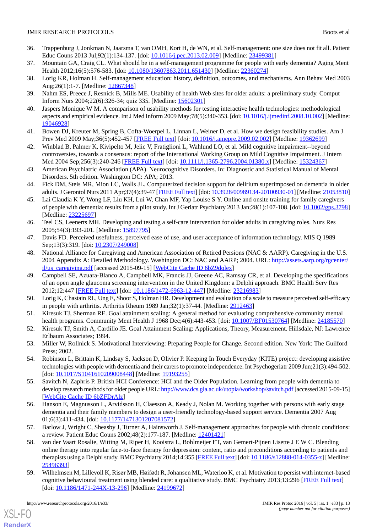- <span id="page-12-0"></span>36. Trappenburg J, Jonkman N, Jaarsma T, van OMH, Kort H, de WN, et al. Self-management: one size does not fit all. Patient Educ Couns 2013 Jul;92(1):134-137. [doi: [10.1016/j.pec.2013.02.009\]](http://dx.doi.org/10.1016/j.pec.2013.02.009) [Medline: [23499381\]](http://www.ncbi.nlm.nih.gov/entrez/query.fcgi?cmd=Retrieve&db=PubMed&list_uids=23499381&dopt=Abstract)
- <span id="page-12-2"></span><span id="page-12-1"></span>37. Mountain GA, Craig CL. What should be in a self-management programme for people with early dementia? Aging Ment Health 2012;16(5):576-583. [doi: [10.1080/13607863.2011.651430\]](http://dx.doi.org/10.1080/13607863.2011.651430) [Medline: [22360274\]](http://www.ncbi.nlm.nih.gov/entrez/query.fcgi?cmd=Retrieve&db=PubMed&list_uids=22360274&dopt=Abstract)
- <span id="page-12-3"></span>38. Lorig KR, Holman H. Self-management education: history, definition, outcomes, and mechanisms. Ann Behav Med 2003 Aug;26(1):1-7. [Medline: [12867348](http://www.ncbi.nlm.nih.gov/entrez/query.fcgi?cmd=Retrieve&db=PubMed&list_uids=12867348&dopt=Abstract)]
- <span id="page-12-4"></span>39. Nahm ES, Preece J, Resnick B, Mills ME. Usability of health Web sites for older adults: a preliminary study. Comput Inform Nurs 2004;22(6):326-34; quiz 335. [Medline: [15602301](http://www.ncbi.nlm.nih.gov/entrez/query.fcgi?cmd=Retrieve&db=PubMed&list_uids=15602301&dopt=Abstract)]
- <span id="page-12-5"></span>40. Jaspers Monique W M. A comparison of usability methods for testing interactive health technologies: methodological aspects and empirical evidence. Int J Med Inform 2009 May;78(5):340-353. [doi: [10.1016/j.ijmedinf.2008.10.002\]](http://dx.doi.org/10.1016/j.ijmedinf.2008.10.002) [Medline: [19046928](http://www.ncbi.nlm.nih.gov/entrez/query.fcgi?cmd=Retrieve&db=PubMed&list_uids=19046928&dopt=Abstract)]
- <span id="page-12-6"></span>41. Bowen DJ, Kreuter M, Spring B, Cofta-Woerpel L, Linnan L, Weiner D, et al. How we design feasibility studies. Am J Prev Med 2009 May;36(5):452-457 [\[FREE Full text\]](http://europepmc.org/abstract/MED/19362699) [doi: [10.1016/j.amepre.2009.02.002](http://dx.doi.org/10.1016/j.amepre.2009.02.002)] [Medline: [19362699](http://www.ncbi.nlm.nih.gov/entrez/query.fcgi?cmd=Retrieve&db=PubMed&list_uids=19362699&dopt=Abstract)]
- <span id="page-12-7"></span>42. Winblad B, Palmer K, Kivipelto M, Jelic V, Fratiglioni L, Wahlund LO, et al. Mild cognitive impairment--beyond controversies, towards a consensus: report of the International Working Group on Mild Cognitive Impairment. J Intern Med 2004 Sep;256(3):240-246 [\[FREE Full text\]](http://onlinelibrary.wiley.com/resolve/openurl?genre=article&sid=nlm:pubmed&issn=0954-6820&date=2004&volume=256&issue=3&spage=240) [doi: [10.1111/j.1365-2796.2004.01380.x](http://dx.doi.org/10.1111/j.1365-2796.2004.01380.x)] [Medline: [15324367](http://www.ncbi.nlm.nih.gov/entrez/query.fcgi?cmd=Retrieve&db=PubMed&list_uids=15324367&dopt=Abstract)]
- <span id="page-12-8"></span>43. American Psychiatric Association (APA). Neurocognitive Disorders. In: Diagnostic and Statistical Manual of Mental Disorders. 5th edition. Washington DC: APA; 2013.
- <span id="page-12-9"></span>44. Fick DM, Steis MR, Mion LC, Walls JL. Computerized decision support for delirium superimposed on dementia in older adults. J Gerontol Nurs 2011 Apr;37(4):39-47 [\[FREE Full text](http://europepmc.org/abstract/MED/21053810)] [doi: [10.3928/00989134-20100930-01](http://dx.doi.org/10.3928/00989134-20100930-01)] [Medline: [21053810\]](http://www.ncbi.nlm.nih.gov/entrez/query.fcgi?cmd=Retrieve&db=PubMed&list_uids=21053810&dopt=Abstract)
- <span id="page-12-10"></span>45. Lai Claudia K Y, Wong LF, Liu KH, Lui W, Chan MF, Yap Louise S Y. Online and onsite training for family caregivers of people with dementia: results from a pilot study. Int J Geriatr Psychiatry 2013 Jan;28(1):107-108. [doi: [10.1002/gps.3798\]](http://dx.doi.org/10.1002/gps.3798) [Medline: [23225697](http://www.ncbi.nlm.nih.gov/entrez/query.fcgi?cmd=Retrieve&db=PubMed&list_uids=23225697&dopt=Abstract)]
- <span id="page-12-12"></span><span id="page-12-11"></span>46. Teel CS, Leenerts MH. Developing and testing a self-care intervention for older adults in caregiving roles. Nurs Res 2005;54(3):193-201. [Medline: [15897795](http://www.ncbi.nlm.nih.gov/entrez/query.fcgi?cmd=Retrieve&db=PubMed&list_uids=15897795&dopt=Abstract)]
- 47. Davis FD. Perceived usefulness, perceived ease of use, and user acceptance of information technology. MIS Q 1989 Sep;13(3):319. [doi: [10.2307/249008](http://dx.doi.org/10.2307/249008)]
- <span id="page-12-13"></span>48. National Alliance for Caregiving and American Association of Retired Persions (NAC & AARP). Caregiving in the U.S. 2004 Appendix A: Detailed Methodology. Washington DC: NAC and AARP; 2004. URL: [http://assets.aarp.org/rgcenter/](http://assets.aarp.org/rgcenter/il/us_caregiving.pdf) [il/us\\_caregiving.pdf](http://assets.aarp.org/rgcenter/il/us_caregiving.pdf) [accessed 2015-09-15] [[WebCite Cache ID 6bZ9dqlex](http://www.webcitation.org/

                                6bZ9dqlex)]
- <span id="page-12-15"></span><span id="page-12-14"></span>49. Campbell SE, Azuara-Blanco A, Campbell MK, Francis JJ, Greene AC, Ramsay CR, et al. Developing the specifications of an open angle glaucoma screening intervention in the United Kingdom: a Delphi approach. BMC Health Serv Res 2012;12:447 [[FREE Full text](http://bmchealthservres.biomedcentral.com/articles/10.1186/1472-6963-12-447)] [doi: [10.1186/1472-6963-12-447\]](http://dx.doi.org/10.1186/1472-6963-12-447) [Medline: [23216983\]](http://www.ncbi.nlm.nih.gov/entrez/query.fcgi?cmd=Retrieve&db=PubMed&list_uids=23216983&dopt=Abstract)
- <span id="page-12-16"></span>50. Lorig K, Chastain RL, Ung E, Shoor S, Holman HR. Development and evaluation of a scale to measure perceived self-efficacy in people with arthritis. Arthritis Rheum 1989 Jan;32(1):37-44. [Medline: [2912463](http://www.ncbi.nlm.nih.gov/entrez/query.fcgi?cmd=Retrieve&db=PubMed&list_uids=2912463&dopt=Abstract)]
- <span id="page-12-17"></span>51. Kiresuk TJ, Sherman RE. Goal attainment scaling: A general method for evaluating comprehensive community mental health programs. Community Ment Health J 1968 Dec;4(6):443-453. [doi: [10.1007/BF01530764\]](http://dx.doi.org/10.1007/BF01530764) [Medline: [24185570\]](http://www.ncbi.nlm.nih.gov/entrez/query.fcgi?cmd=Retrieve&db=PubMed&list_uids=24185570&dopt=Abstract)
- <span id="page-12-18"></span>52. Kiresuk TJ, Smith A, Cardillo JE. Goal Attainment Scaling: Applications, Theory, Measurement. Hillsdale, NJ: Lawrence Erlbaum Associates; 1994.
- 53. Miller W, Rollnick S. Motivational Interviewing: Preparing People for Change. Second edition. New York: The Guilford Press; 2002.
- <span id="page-12-19"></span>54. Robinson L, Brittain K, Lindsay S, Jackson D, Olivier P. Keeping In Touch Everyday (KITE) project: developing assistive technologies with people with dementia and their carers to promote independence. Int Psychogeriatr 2009 Jun;21(3):494-502. [doi: [10.1017/S1041610209008448\]](http://dx.doi.org/10.1017/S1041610209008448) [Medline: [19193255](http://www.ncbi.nlm.nih.gov/entrez/query.fcgi?cmd=Retrieve&db=PubMed&list_uids=19193255&dopt=Abstract)]
- <span id="page-12-20"></span>55. Savitch N, Zaphris P. British HCI Conference: HCI and the Older Population. Learning from people with dementia to develop research methods for older people URL:<http://www.dcs.gla.ac.uk/utopia/workshop/savitch.pdf> [accessed 2015-09-15] [[WebCite Cache ID 6bZFDrAlz](http://www.webcitation.org/

                                6bZFDrAlz)]
- <span id="page-12-21"></span>56. Hanson E, Magnusson L, Arvidsson H, Claesson A, Keady J, Nolan M. Working together with persons with early stage dementia and their family members to design a user-friendly technology-based support service. Dementia 2007 Aug 01;6(3):411-434. [doi: [10.1177/1471301207081572\]](http://dx.doi.org/10.1177/1471301207081572)
- <span id="page-12-22"></span>57. Barlow J, Wright C, Sheasby J, Turner A, Hainsworth J. Self-management approaches for people with chronic conditions: a review. Patient Educ Couns 2002;48(2):177-187. [Medline: [12401421](http://www.ncbi.nlm.nih.gov/entrez/query.fcgi?cmd=Retrieve&db=PubMed&list_uids=12401421&dopt=Abstract)]
- 58. van der Vaart Rosalie, Witting M, Riper H, Kooistra L, Bohlmeijer ET, van Gemert-Pijnen Lisette J E W C. Blending online therapy into regular face-to-face therapy for depression: content, ratio and preconditions according to patients and therapists using a Delphi study. BMC Psychiatry 2014;14:355 [\[FREE Full text\]](http://bmcpsychiatry.biomedcentral.com/articles/10.1186/s12888-014-0355-z) [doi: [10.1186/s12888-014-0355-z\]](http://dx.doi.org/10.1186/s12888-014-0355-z) [Medline: [25496393](http://www.ncbi.nlm.nih.gov/entrez/query.fcgi?cmd=Retrieve&db=PubMed&list_uids=25496393&dopt=Abstract)]
- 59. Wilhelmsen M, Lillevoll K, Risør MB, Høifødt R, Johansen ML, Waterloo K, et al. Motivation to persist with internet-based cognitive behavioural treatment using blended care: a qualitative study. BMC Psychiatry 2013;13:296 [[FREE Full text](http://bmcpsychiatry.biomedcentral.com/articles/10.1186/1471-244X-13-296)] [doi: [10.1186/1471-244X-13-296](http://dx.doi.org/10.1186/1471-244X-13-296)] [Medline: [24199672](http://www.ncbi.nlm.nih.gov/entrez/query.fcgi?cmd=Retrieve&db=PubMed&list_uids=24199672&dopt=Abstract)]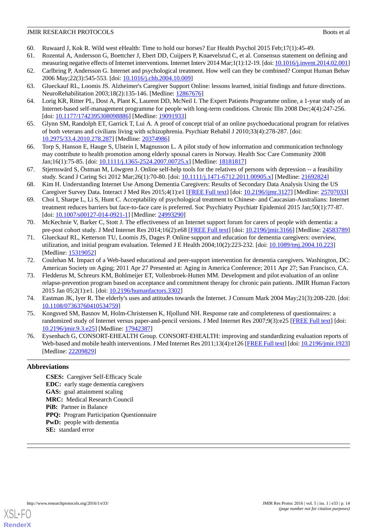- <span id="page-13-1"></span><span id="page-13-0"></span>60. Ruwaard J, Kok R. Wild west eHealth: Time to hold our horses? Eur Health Psychol 2015 Feb;17(1):45-49.
- 61. Rozental A, Andersson G, Boettcher J, Ebert DD, Cuijpers P, Knaevelsrud C, et al. Consensus statement on defining and measuring negative effects of Internet interventions. Internet Interv 2014 Mar;1(1):12-19. [doi: [10.1016/j.invent.2014.02.001\]](http://dx.doi.org/10.1016/j.invent.2014.02.001)
- <span id="page-13-3"></span><span id="page-13-2"></span>62. Carlbring P, Andersson G. Internet and psychological treatment. How well can they be combined? Comput Human Behav 2006 May;22(3):545-553. [doi: [10.1016/j.chb.2004.10.009](http://dx.doi.org/10.1016/j.chb.2004.10.009)]
- 63. Glueckauf RL, Loomis JS. Alzheimer's Caregiver Support Online: lessons learned, initial findings and future directions. NeuroRehabilitation 2003;18(2):135-146. [Medline: [12867676](http://www.ncbi.nlm.nih.gov/entrez/query.fcgi?cmd=Retrieve&db=PubMed&list_uids=12867676&dopt=Abstract)]
- <span id="page-13-4"></span>64. Lorig KR, Ritter PL, Dost A, Plant K, Laurent DD, McNeil I. The Expert Patients Programme online, a 1-year study of an Internet-based self-management programme for people with long-term conditions. Chronic Illn 2008 Dec;4(4):247-256. [doi: [10.1177/1742395308098886](http://dx.doi.org/10.1177/1742395308098886)] [Medline: [19091933\]](http://www.ncbi.nlm.nih.gov/entrez/query.fcgi?cmd=Retrieve&db=PubMed&list_uids=19091933&dopt=Abstract)
- <span id="page-13-5"></span>65. Glynn SM, Randolph ET, Garrick T, Lui A. A proof of concept trial of an online psychoeducational program for relatives of both veterans and civilians living with schizophrenia. Psychiatr Rehabil J 2010;33(4):278-287. [doi: [10.2975/33.4.2010.278.287\]](http://dx.doi.org/10.2975/33.4.2010.278.287) [Medline: [20374986\]](http://www.ncbi.nlm.nih.gov/entrez/query.fcgi?cmd=Retrieve&db=PubMed&list_uids=20374986&dopt=Abstract)
- <span id="page-13-6"></span>66. Torp S, Hanson E, Hauge S, Ulstein I, Magnusson L. A pilot study of how information and communication technology may contribute to health promotion among elderly spousal carers in Norway. Health Soc Care Community 2008 Jan;16(1):75-85. [doi: [10.1111/j.1365-2524.2007.00725.x](http://dx.doi.org/10.1111/j.1365-2524.2007.00725.x)] [Medline: [18181817\]](http://www.ncbi.nlm.nih.gov/entrez/query.fcgi?cmd=Retrieve&db=PubMed&list_uids=18181817&dopt=Abstract)
- <span id="page-13-7"></span>67. Stjernswärd S, Östman M, Löwgren J. Online self-help tools for the relatives of persons with depression -- a feasibility study. Scand J Caring Sci 2012 Mar;26(1):70-80. [doi: [10.1111/j.1471-6712.2011.00905.x](http://dx.doi.org/10.1111/j.1471-6712.2011.00905.x)] [Medline: [21692824](http://www.ncbi.nlm.nih.gov/entrez/query.fcgi?cmd=Retrieve&db=PubMed&list_uids=21692824&dopt=Abstract)]
- <span id="page-13-8"></span>68. Kim H. Understanding Internet Use Among Dementia Caregivers: Results of Secondary Data Analysis Using the US Caregiver Survey Data. Interact J Med Res 2015;4(1):e1 [[FREE Full text\]](http://www.i-jmr.org/2015/1/e1/) [doi: [10.2196/ijmr.3127](http://dx.doi.org/10.2196/ijmr.3127)] [Medline: [25707033\]](http://www.ncbi.nlm.nih.gov/entrez/query.fcgi?cmd=Retrieve&db=PubMed&list_uids=25707033&dopt=Abstract)
- <span id="page-13-9"></span>69. Choi I, Sharpe L, Li S, Hunt C. Acceptability of psychological treatment to Chinese- and Caucasian-Australians: Internet treatment reduces barriers but face-to-face care is preferred. Soc Psychiatry Psychiatr Epidemiol 2015 Jan;50(1):77-87. [doi: [10.1007/s00127-014-0921-1](http://dx.doi.org/10.1007/s00127-014-0921-1)] [Medline: [24993290\]](http://www.ncbi.nlm.nih.gov/entrez/query.fcgi?cmd=Retrieve&db=PubMed&list_uids=24993290&dopt=Abstract)
- <span id="page-13-10"></span>70. McKechnie V, Barker C, Stott J. The effectiveness of an Internet support forum for carers of people with dementia: a pre-post cohort study. J Med Internet Res 2014;16(2):e68 [[FREE Full text\]](http://www.jmir.org/2014/2/e68/) [doi: [10.2196/jmir.3166\]](http://dx.doi.org/10.2196/jmir.3166) [Medline: [24583789](http://www.ncbi.nlm.nih.gov/entrez/query.fcgi?cmd=Retrieve&db=PubMed&list_uids=24583789&dopt=Abstract)]
- <span id="page-13-12"></span><span id="page-13-11"></span>71. Glueckauf RL, Ketterson TU, Loomis JS, Dages P. Online support and education for dementia caregivers: overview, utilization, and initial program evaluation. Telemed J E Health 2004;10(2):223-232. [doi: [10.1089/tmj.2004.10.223](http://dx.doi.org/10.1089/tmj.2004.10.223)] [Medline: [15319052](http://www.ncbi.nlm.nih.gov/entrez/query.fcgi?cmd=Retrieve&db=PubMed&list_uids=15319052&dopt=Abstract)]
- 72. Coulehan M. Impact of a Web-based educational and peer-support intervention for dementia caregivers. Washington, DC: American Society on Aging; 2011 Apr 27 Presented at: Aging in America Conference; 2011 Apr 27; San Francisco, CA.
- <span id="page-13-14"></span><span id="page-13-13"></span>73. Fledderus M, Schreurs KM, Bohlmeijer ET, Vollenbroek-Hutten MM. Development and pilot evaluation of an online relapse-prevention program based on acceptance and commitment therapy for chronic pain patients. JMIR Human Factors 2015 Jan 05;2(1):e1. [doi: [10.2196/humanfactors.3302](http://dx.doi.org/10.2196/humanfactors.3302)]
- <span id="page-13-15"></span>74. Eastman JK, Iyer R. The elderly's uses and attitudes towards the Internet. J Consum Mark 2004 May;21(3):208-220. [doi: [10.1108/07363760410534759\]](http://dx.doi.org/10.1108/07363760410534759)
- 75. Kongsved SM, Basnov M, Holm-Christensen K, Hjollund NH. Response rate and completeness of questionnaires: a randomized study of Internet versus paper-and-pencil versions. J Med Internet Res 2007;9(3):e25 [[FREE Full text](http://www.jmir.org/2007/3/e25/)] [doi: [10.2196/jmir.9.3.e25\]](http://dx.doi.org/10.2196/jmir.9.3.e25) [Medline: [17942387\]](http://www.ncbi.nlm.nih.gov/entrez/query.fcgi?cmd=Retrieve&db=PubMed&list_uids=17942387&dopt=Abstract)
- 76. Eysenbach G, CONSORT-EHEALTH Group. CONSORT-EHEALTH: improving and standardizing evaluation reports of Web-based and mobile health interventions. J Med Internet Res 2011;13(4):e126 [[FREE Full text](http://www.jmir.org/2011/4/e126/)] [doi: [10.2196/jmir.1923](http://dx.doi.org/10.2196/jmir.1923)] [Medline: [22209829](http://www.ncbi.nlm.nih.gov/entrez/query.fcgi?cmd=Retrieve&db=PubMed&list_uids=22209829&dopt=Abstract)]

#### **Abbreviations**

**CSES:** Caregiver Self-Efficacy Scale **EDC:** early stage dementia caregivers **GAS:** goal attainment scaling **MRC:** Medical Research Council **PiB:** Partner in Balance **PPQ:** Program Participation Questionnaire **PwD:** people with dementia **SE:** standard error